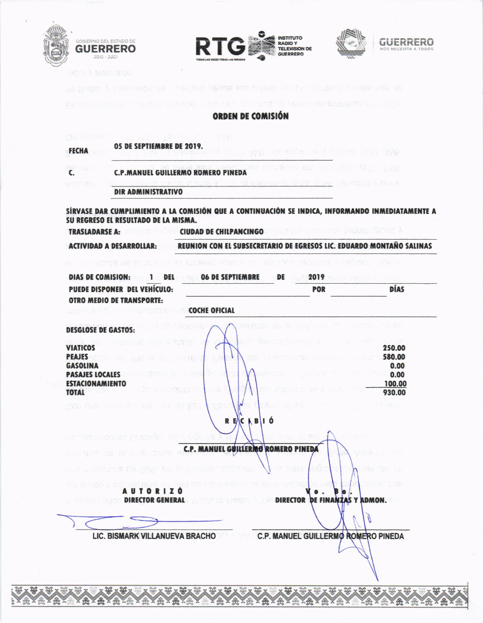







as de 2 miliones de permas sintonizzat la seña.

## **ORDEN DE COMISIÓN**

|                                                                  | <b>C.P.MANUEL GUILLERMO ROMERO PINEDA</b>                                                                           | Jee numeras en variation (av Lan) |                      |
|------------------------------------------------------------------|---------------------------------------------------------------------------------------------------------------------|-----------------------------------|----------------------|
| <b>HOMSH</b>                                                     | AND THE SUS OUN IS COULD BEEN<br><b>DIR ADMINISTRATIVO</b>                                                          |                                   |                      |
| SU REGRESO EL RESULTADO DE LA MISMA.                             | SÍRVASE DAR CUMPLIMIENTO A LA COMISIÓN QUE A CONTINUACIÓN SE INDICA, INFORMANDO INMEDIATAMENTE A                    |                                   |                      |
|                                                                  | <b>CIUDAD DE CHILPANCINGO E DE L'ANGLISTE DE L'ANGLISTE DE L'ANGLISTE DE L'ANGLISTE DE L'ANGLISTE DE L'ANGLISTE</b> |                                   |                      |
| <b>ACTIVIDAD A DESARROLLAR:</b>                                  | REUNION CON EL SUBSECRETARIO DE EGRESOS LIC. EDUARDO MONTAÑO SALINAS                                                |                                   |                      |
|                                                                  | en ar regide de la boare e la lulleeanmante do calinhoa (aoussea Alberta aoussi                                     |                                   |                      |
|                                                                  | DIAS DE COMISION: 1 DEL 06 DE SEPTIEMBRE                                                                            | <b>DE</b><br>2019                 |                      |
| PUEDE DISPONER DEL VEHÍCULO:<br><b>OTRO MEDIO DE TRANSPORTE:</b> |                                                                                                                     | POR                               | <b>DÍAS</b>          |
| <b>Jensing Communication Coche oficial</b>                       |                                                                                                                     |                                   |                      |
| <b>DESGLOSE DE GASTOS:</b>                                       |                                                                                                                     |                                   |                      |
|                                                                  |                                                                                                                     |                                   |                      |
| <b>VIATICOS</b>                                                  |                                                                                                                     |                                   | 250.00               |
| PEAJES <b>ACTORIAL ENDER AND CONTRACTS</b>                       | ŧ<br>16<br>OS LEISCELINI                                                                                            |                                   | 580.00<br>$-10.6171$ |
| <b>GASOLINA</b>                                                  |                                                                                                                     |                                   | 0.00                 |
| <b>PASAJES LOCALES</b>                                           | 3월 C 연상하<br>도로 가격                                                                                                   |                                   | 0.00                 |
| <b>ESTACIONAMIENTO</b>                                           | æ<br>152 'WHEATOORITA                                                                                               | 강화 경쟁관심들은 사람 김 건물이                | 100.00               |
| <b>TOTAL</b>                                                     |                                                                                                                     |                                   | 930.00               |
| <b>产品的 特拉数据: 机分支排气体 的复数人名法 海岸 索瓦子</b>                            | <b>LEE CAL</b><br>$\sim$                                                                                            | 6 19303 S, WS JUN 1911            | The Local Card       |
|                                                                  |                                                                                                                     |                                   |                      |
|                                                                  | RECABIÓ                                                                                                             |                                   |                      |
|                                                                  |                                                                                                                     |                                   |                      |
| arayas, exist attenda the 15                                     |                                                                                                                     |                                   |                      |
| PERMIT OF B RODINS                                               | C.P. MANUEL GUILLERMO ROMERO PINEDA                                                                                 |                                   | 장을 많은 보고             |
|                                                                  |                                                                                                                     |                                   |                      |
| AND LEARNINGS OR BOAT OU OF FRISCO                               | ka a<br>14.IQO                                                                                                      | eth                               | 1198 98              |
|                                                                  |                                                                                                                     |                                   |                      |
| <b>AUTORIZÓ</b>                                                  |                                                                                                                     |                                   | TO: 53 200           |
|                                                                  | <b>IN SUITE DIRECTOR GENERAL DESIGNED LISTED</b>                                                                    | <b>DIRECTOR DE FINAN</b>          | IS Y ADMON.          |
|                                                                  |                                                                                                                     |                                   |                      |
|                                                                  |                                                                                                                     |                                   |                      |
|                                                                  |                                                                                                                     |                                   |                      |
|                                                                  | LIC. BISMARK VILLANUEVA BRACHO C.P. MANUEL GUILLERMO ROMERO PINEDA                                                  |                                   |                      |
|                                                                  |                                                                                                                     |                                   |                      |
|                                                                  |                                                                                                                     |                                   |                      |
|                                                                  |                                                                                                                     |                                   |                      |
|                                                                  |                                                                                                                     |                                   |                      |